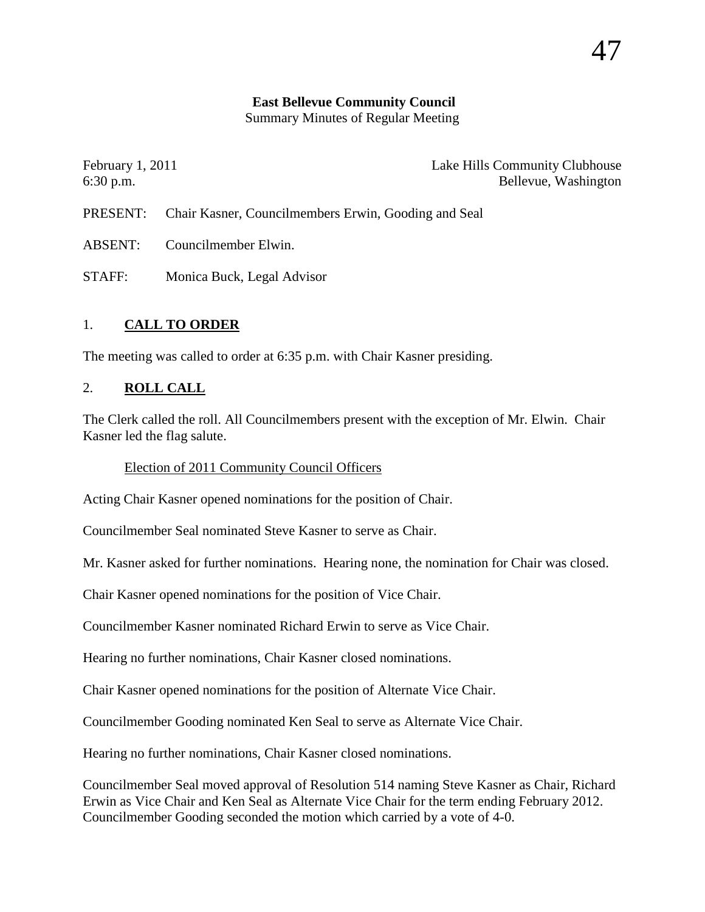# **East Bellevue Community Council**

Summary Minutes of Regular Meeting

| Lake Hills Community Clubhouse<br>February $1, 2011$<br>Bellevue, Washington |
|------------------------------------------------------------------------------|
| <b>PRESENT:</b> Chair Kasner, Councilmembers Erwin, Gooding and Seal         |
| Councilmember Elwin.                                                         |
|                                                                              |

## 1. **CALL TO ORDER**

STAFF: Monica Buck, Legal Advisor

The meeting was called to order at 6:35 p.m. with Chair Kasner presiding.

## 2. **ROLL CALL**

The Clerk called the roll. All Councilmembers present with the exception of Mr. Elwin. Chair Kasner led the flag salute.

## Election of 2011 Community Council Officers

Acting Chair Kasner opened nominations for the position of Chair.

Councilmember Seal nominated Steve Kasner to serve as Chair.

Mr. Kasner asked for further nominations. Hearing none, the nomination for Chair was closed.

Chair Kasner opened nominations for the position of Vice Chair.

Councilmember Kasner nominated Richard Erwin to serve as Vice Chair.

Hearing no further nominations, Chair Kasner closed nominations.

Chair Kasner opened nominations for the position of Alternate Vice Chair.

Councilmember Gooding nominated Ken Seal to serve as Alternate Vice Chair.

Hearing no further nominations, Chair Kasner closed nominations.

Councilmember Seal moved approval of Resolution 514 naming Steve Kasner as Chair, Richard Erwin as Vice Chair and Ken Seal as Alternate Vice Chair for the term ending February 2012. Councilmember Gooding seconded the motion which carried by a vote of 4-0.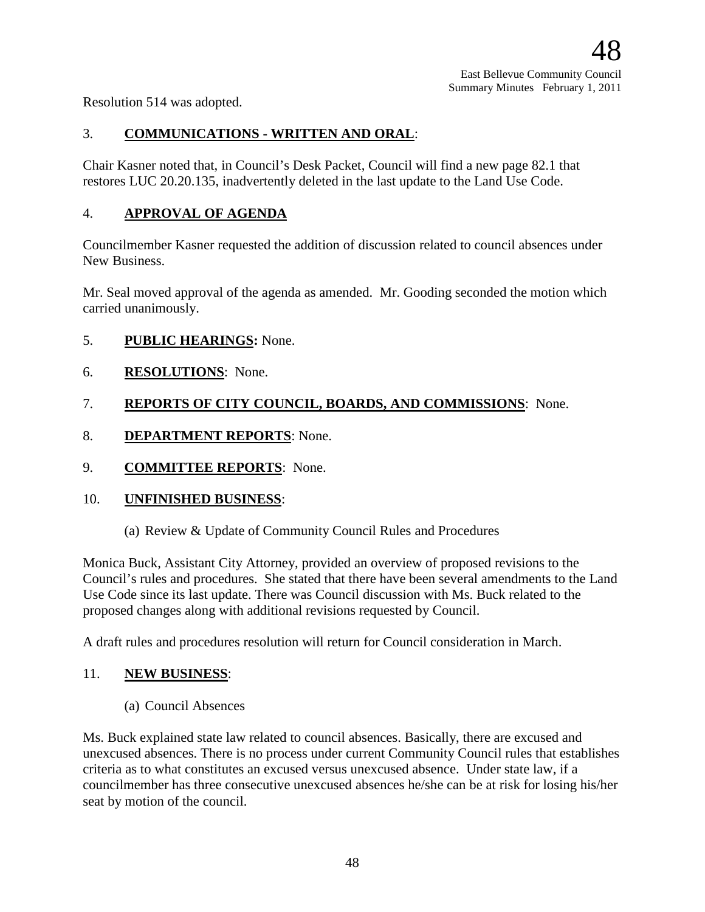Resolution 514 was adopted.

## 3. **COMMUNICATIONS - WRITTEN AND ORAL**:

Chair Kasner noted that, in Council's Desk Packet, Council will find a new page 82.1 that restores LUC 20.20.135, inadvertently deleted in the last update to the Land Use Code.

## 4. **APPROVAL OF AGENDA**

Councilmember Kasner requested the addition of discussion related to council absences under New Business.

Mr. Seal moved approval of the agenda as amended. Mr. Gooding seconded the motion which carried unanimously.

- 5. **PUBLIC HEARINGS:** None.
- 6. **RESOLUTIONS**: None.

#### 7. **REPORTS OF CITY COUNCIL, BOARDS, AND COMMISSIONS**: None.

- 8. **DEPARTMENT REPORTS**: None.
- 9. **COMMITTEE REPORTS**: None.

#### 10. **UNFINISHED BUSINESS**:

(a) Review & Update of Community Council Rules and Procedures

Monica Buck, Assistant City Attorney, provided an overview of proposed revisions to the Council's rules and procedures. She stated that there have been several amendments to the Land Use Code since its last update. There was Council discussion with Ms. Buck related to the proposed changes along with additional revisions requested by Council.

A draft rules and procedures resolution will return for Council consideration in March.

#### 11. **NEW BUSINESS**:

(a) Council Absences

Ms. Buck explained state law related to council absences. Basically, there are excused and unexcused absences. There is no process under current Community Council rules that establishes criteria as to what constitutes an excused versus unexcused absence. Under state law, if a councilmember has three consecutive unexcused absences he/she can be at risk for losing his/her seat by motion of the council.